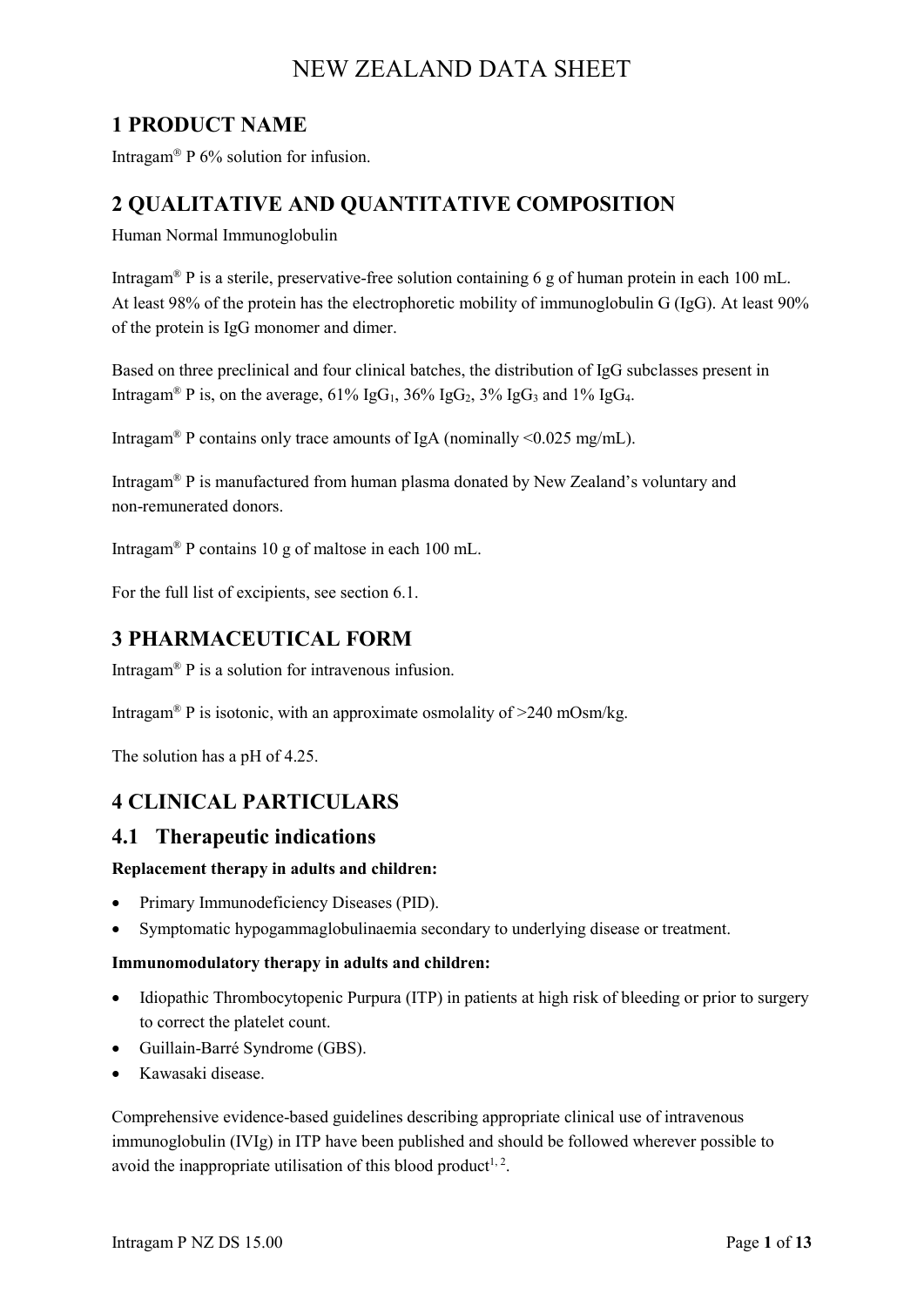# **1 PRODUCT NAME**

Intragam<sup>®</sup> P  $6\%$  solution for infusion.

## **2 QUALITATIVE AND QUANTITATIVE COMPOSITION**

Human Normal Immunoglobulin

Intragam® P is a sterile, preservative-free solution containing 6 g of human protein in each 100 mL. At least 98% of the protein has the electrophoretic mobility of immunoglobulin G (IgG). At least 90% of the protein is IgG monomer and dimer.

Based on three preclinical and four clinical batches, the distribution of IgG subclasses present in Intragam<sup>®</sup> P is, on the average,  $61\%$  IgG<sub>1</sub>,  $36\%$  IgG<sub>2</sub>,  $3\%$  IgG<sub>3</sub> and  $1\%$  IgG<sub>4</sub>.

Intragam<sup>®</sup> P contains only trace amounts of IgA (nominally  $\leq 0.025$  mg/mL).

Intragam® P is manufactured from human plasma donated by New Zealand's voluntary and non-remunerated donors.

Intragam® P contains 10 g of maltose in each 100 mL.

For the full list of excipients, see section 6.1.

# **3 PHARMACEUTICAL FORM**

Intragam® P is a solution for intravenous infusion.

Intragam<sup>®</sup> P is isotonic, with an approximate osmolality of  $>240$  mOsm/kg.

The solution has a pH of 4.25.

## **4 CLINICAL PARTICULARS**

### **4.1 Therapeutic indications**

#### **Replacement therapy in adults and children:**

- Primary Immunodeficiency Diseases (PID).
- Symptomatic hypogammaglobulinaemia secondary to underlying disease or treatment.

#### **Immunomodulatory therapy in adults and children:**

- Idiopathic Thrombocytopenic Purpura (ITP) in patients at high risk of bleeding or prior to surgery to correct the platelet count.
- Guillain-Barré Syndrome (GBS).
- Kawasaki disease.

Comprehensive evidence-based guidelines describing appropriate clinical use of intravenous immunoglobulin (IVIg) in ITP have been published and should be followed wherever possible to avoid the inappropriate utilisation of this blood product<sup> $1, 2$ </sup>.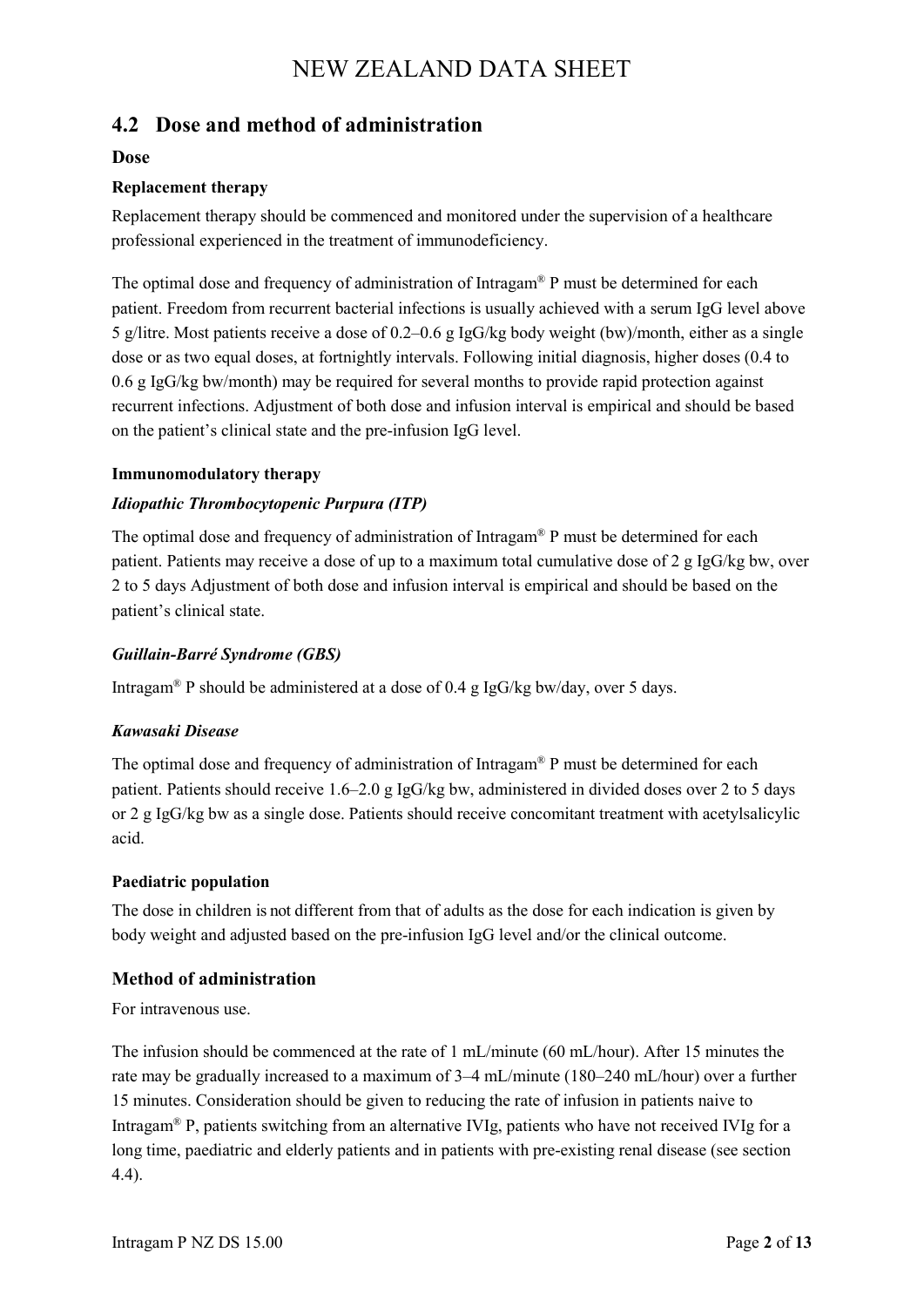## **4.2 Dose and method of administration**

#### **Dose**

#### **Replacement therapy**

Replacement therapy should be commenced and monitored under the supervision of a healthcare professional experienced in the treatment of immunodeficiency.

The optimal dose and frequency of administration of Intragam<sup>®</sup> P must be determined for each patient. Freedom from recurrent bacterial infections is usually achieved with a serum IgG level above 5 g/litre. Most patients receive a dose of 0.2–0.6 g IgG/kg body weight (bw)/month, either as a single dose or as two equal doses, at fortnightly intervals. Following initial diagnosis, higher doses (0.4 to 0.6 g IgG/kg bw/month) may be required for several months to provide rapid protection against recurrent infections. Adjustment of both dose and infusion interval is empirical and should be based on the patient's clinical state and the pre-infusion IgG level.

#### **Immunomodulatory therapy**

#### *Idiopathic Thrombocytopenic Purpura (ITP)*

The optimal dose and frequency of administration of Intragam® P must be determined for each patient. Patients may receive a dose of up to a maximum total cumulative dose of 2 g IgG/kg bw, over 2 to 5 days Adjustment of both dose and infusion interval is empirical and should be based on the patient's clinical state.

#### *Guillain-Barré Syndrome (GBS)*

Intragam® P should be administered at a dose of 0.4 g IgG/kg bw/day, over 5 days.

#### *Kawasaki Disease*

The optimal dose and frequency of administration of Intragam® P must be determined for each patient. Patients should receive 1.6–2.0 g IgG/kg bw, administered in divided doses over 2 to 5 days or 2 g IgG/kg bw as a single dose. Patients should receive concomitant treatment with acetylsalicylic acid.

#### **Paediatric population**

The dose in children is not different from that of adults as the dose for each indication is given by body weight and adjusted based on the pre-infusion IgG level and/or the clinical outcome.

#### **Method of administration**

For intravenous use.

The infusion should be commenced at the rate of 1 mL/minute (60 mL/hour). After 15 minutes the rate may be gradually increased to a maximum of 3–4 mL/minute (180–240 mL/hour) over a further 15 minutes. Consideration should be given to reducing the rate of infusion in patients naive to Intragam® P, patients switching from an alternative IVIg, patients who have not received IVIg for a long time, paediatric and elderly patients and in patients with pre-existing renal disease (see section 4.4).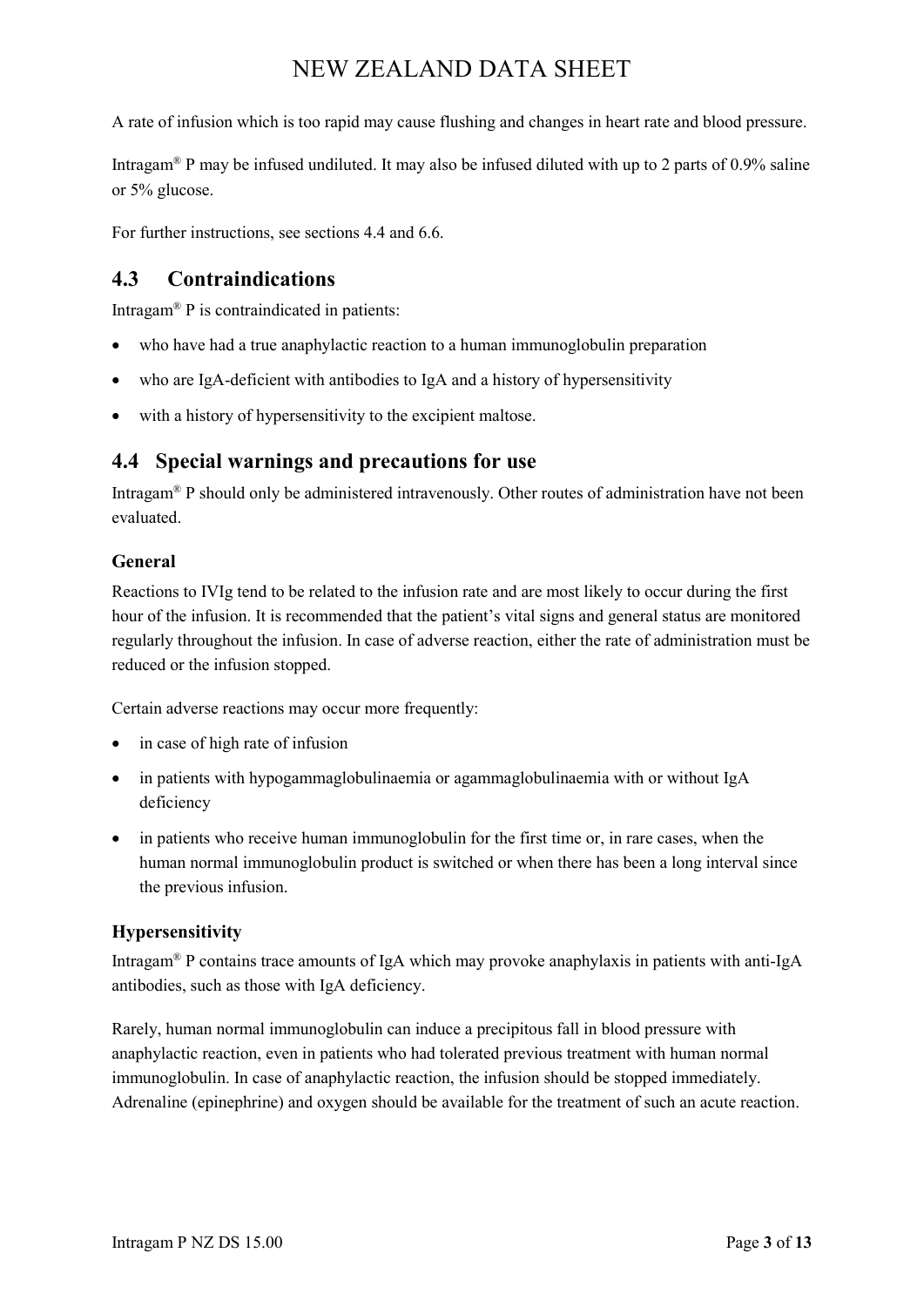A rate of infusion which is too rapid may cause flushing and changes in heart rate and blood pressure.

Intragam® P may be infused undiluted. It may also be infused diluted with up to 2 parts of 0.9% saline or 5% glucose.

For further instructions, see sections 4.4 and 6.6.

# **4.3 Contraindications**

Intragam® P is contraindicated in patients:

- who have had a true anaphylactic reaction to a human immunoglobulin preparation
- who are IgA-deficient with antibodies to IgA and a history of hypersensitivity
- with a history of hypersensitivity to the excipient maltose.

# **4.4 Special warnings and precautions for use**

Intragam® P should only be administered intravenously. Other routes of administration have not been evaluated.

### **General**

Reactions to IVIg tend to be related to the infusion rate and are most likely to occur during the first hour of the infusion. It is recommended that the patient's vital signs and general status are monitored regularly throughout the infusion. In case of adverse reaction, either the rate of administration must be reduced or the infusion stopped.

Certain adverse reactions may occur more frequently:

- in case of high rate of infusion
- in patients with hypogammaglobulinaemia or agammaglobulinaemia with or without IgA deficiency
- in patients who receive human immunoglobulin for the first time or, in rare cases, when the human normal immunoglobulin product is switched or when there has been a long interval since the previous infusion.

### **Hypersensitivity**

Intragam® P contains trace amounts of IgA which may provoke anaphylaxis in patients with anti-IgA antibodies, such as those with IgA deficiency.

Rarely, human normal immunoglobulin can induce a precipitous fall in blood pressure with anaphylactic reaction, even in patients who had tolerated previous treatment with human normal immunoglobulin. In case of anaphylactic reaction, the infusion should be stopped immediately. Adrenaline (epinephrine) and oxygen should be available for the treatment of such an acute reaction.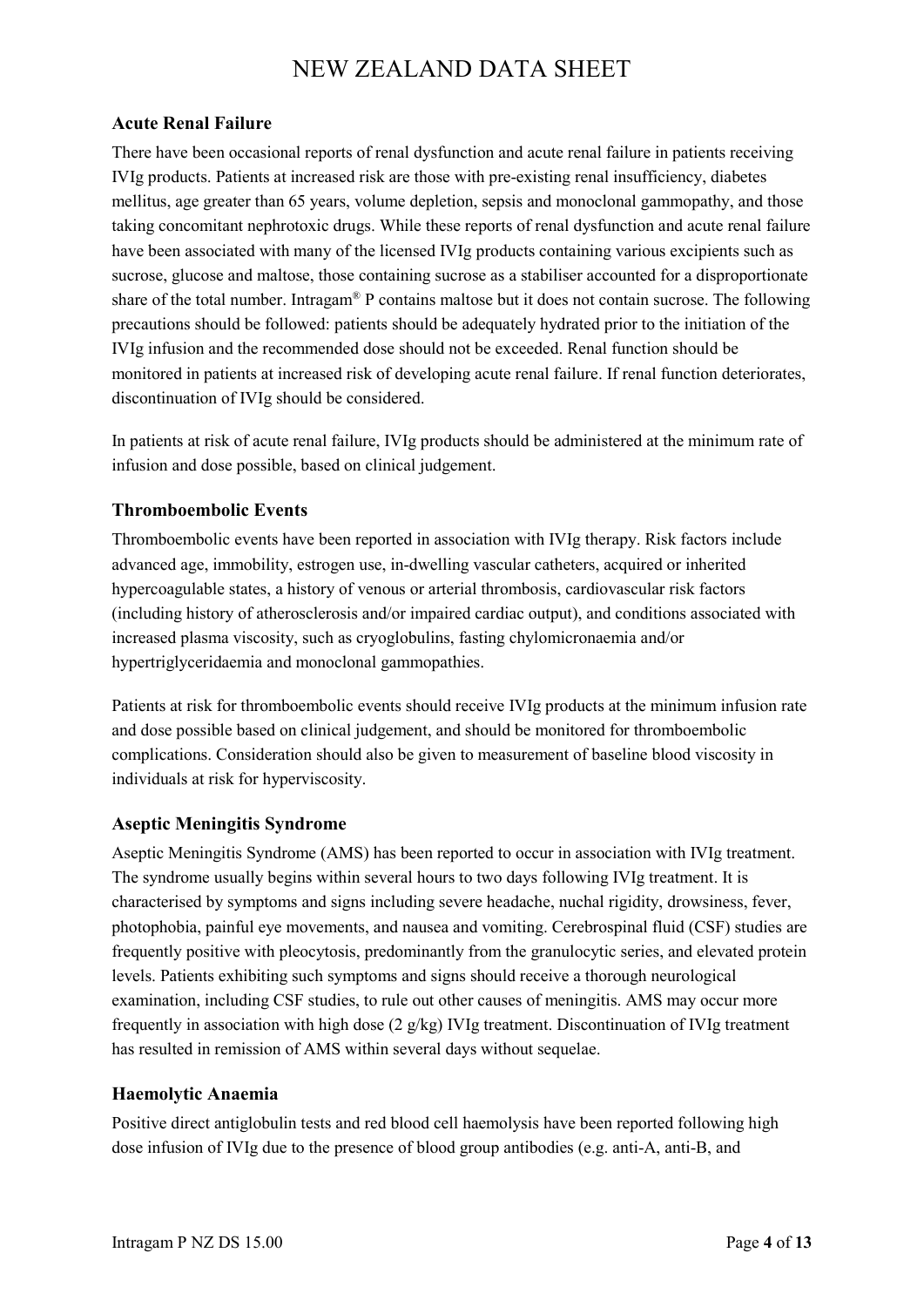### **Acute Renal Failure**

There have been occasional reports of renal dysfunction and acute renal failure in patients receiving IVIg products. Patients at increased risk are those with pre-existing renal insufficiency, diabetes mellitus, age greater than 65 years, volume depletion, sepsis and monoclonal gammopathy, and those taking concomitant nephrotoxic drugs. While these reports of renal dysfunction and acute renal failure have been associated with many of the licensed IVIg products containing various excipients such as sucrose, glucose and maltose, those containing sucrose as a stabiliser accounted for a disproportionate share of the total number. Intragam® P contains maltose but it does not contain sucrose. The following precautions should be followed: patients should be adequately hydrated prior to the initiation of the IVIg infusion and the recommended dose should not be exceeded. Renal function should be monitored in patients at increased risk of developing acute renal failure. If renal function deteriorates, discontinuation of IVIg should be considered.

In patients at risk of acute renal failure, IVIg products should be administered at the minimum rate of infusion and dose possible, based on clinical judgement.

### **Thromboembolic Events**

Thromboembolic events have been reported in association with IVIg therapy. Risk factors include advanced age, immobility, estrogen use, in-dwelling vascular catheters, acquired or inherited hypercoagulable states, a history of venous or arterial thrombosis, cardiovascular risk factors (including history of atherosclerosis and/or impaired cardiac output), and conditions associated with increased plasma viscosity, such as cryoglobulins, fasting chylomicronaemia and/or hypertriglyceridaemia and monoclonal gammopathies.

Patients at risk for thromboembolic events should receive IVIg products at the minimum infusion rate and dose possible based on clinical judgement, and should be monitored for thromboembolic complications. Consideration should also be given to measurement of baseline blood viscosity in individuals at risk for hyperviscosity.

### **Aseptic Meningitis Syndrome**

Aseptic Meningitis Syndrome (AMS) has been reported to occur in association with IVIg treatment. The syndrome usually begins within several hours to two days following IVIg treatment. It is characterised by symptoms and signs including severe headache, nuchal rigidity, drowsiness, fever, photophobia, painful eye movements, and nausea and vomiting. Cerebrospinal fluid (CSF) studies are frequently positive with pleocytosis, predominantly from the granulocytic series, and elevated protein levels. Patients exhibiting such symptoms and signs should receive a thorough neurological examination, including CSF studies, to rule out other causes of meningitis. AMS may occur more frequently in association with high dose  $(2 \text{ g/kg})$  IVIg treatment. Discontinuation of IVIg treatment has resulted in remission of AMS within several days without sequelae.

#### **Haemolytic Anaemia**

Positive direct antiglobulin tests and red blood cell haemolysis have been reported following high dose infusion of IVIg due to the presence of blood group antibodies (e.g. anti-A, anti-B, and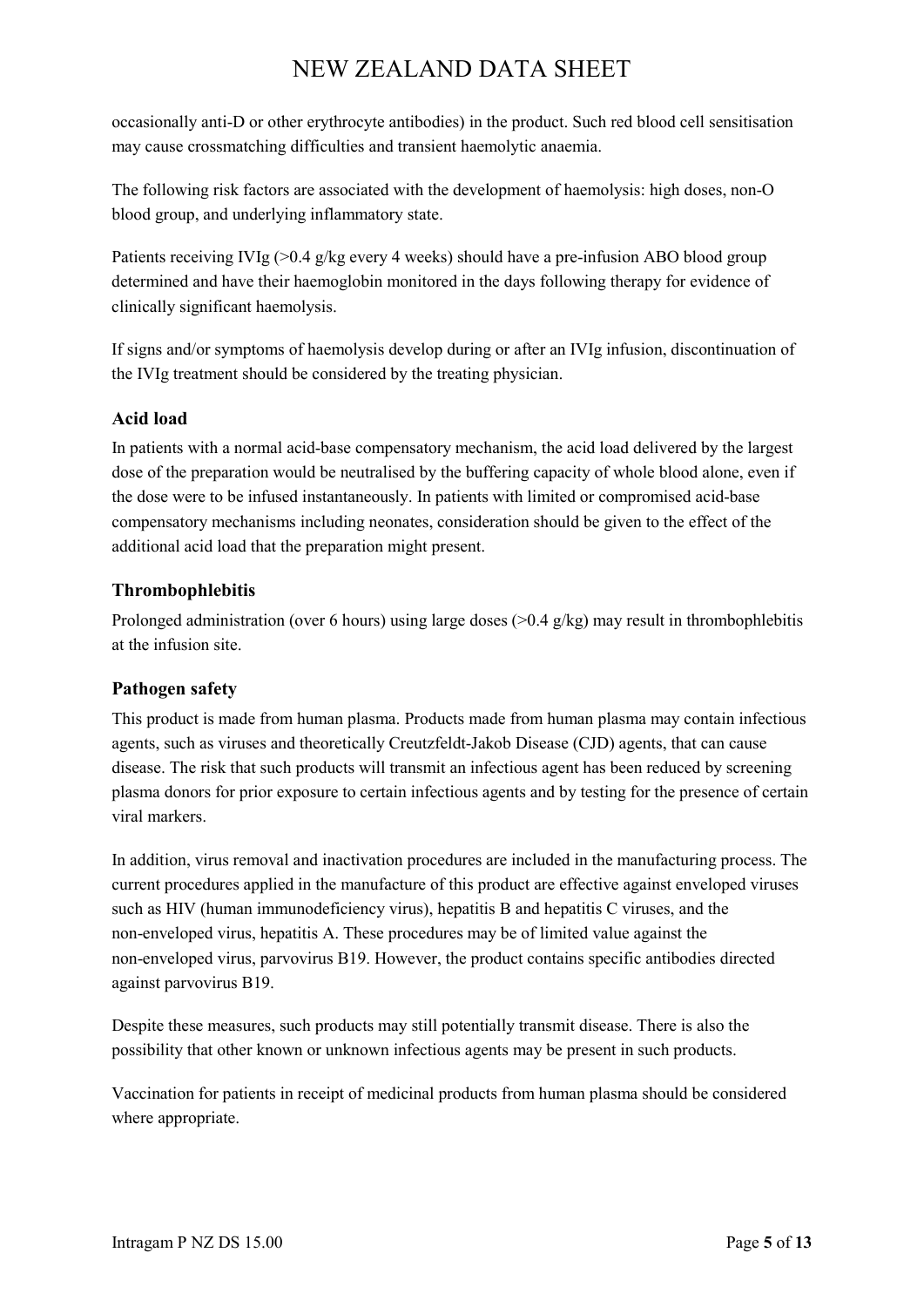occasionally anti-D or other erythrocyte antibodies) in the product. Such red blood cell sensitisation may cause crossmatching difficulties and transient haemolytic anaemia.

The following risk factors are associated with the development of haemolysis: high doses, non-O blood group, and underlying inflammatory state.

Patients receiving IVIg (>0.4 g/kg every 4 weeks) should have a pre-infusion ABO blood group determined and have their haemoglobin monitored in the days following therapy for evidence of clinically significant haemolysis.

If signs and/or symptoms of haemolysis develop during or after an IVIg infusion, discontinuation of the IVIg treatment should be considered by the treating physician.

### **Acid load**

In patients with a normal acid-base compensatory mechanism, the acid load delivered by the largest dose of the preparation would be neutralised by the buffering capacity of whole blood alone, even if the dose were to be infused instantaneously. In patients with limited or compromised acid-base compensatory mechanisms including neonates, consideration should be given to the effect of the additional acid load that the preparation might present.

### **Thrombophlebitis**

Prolonged administration (over 6 hours) using large doses ( $> 0.4$  g/kg) may result in thrombophlebitis at the infusion site.

### **Pathogen safety**

This product is made from human plasma. Products made from human plasma may contain infectious agents, such as viruses and theoretically Creutzfeldt-Jakob Disease (CJD) agents, that can cause disease. The risk that such products will transmit an infectious agent has been reduced by screening plasma donors for prior exposure to certain infectious agents and by testing for the presence of certain viral markers.

In addition, virus removal and inactivation procedures are included in the manufacturing process. The current procedures applied in the manufacture of this product are effective against enveloped viruses such as HIV (human immunodeficiency virus), hepatitis B and hepatitis C viruses, and the non-enveloped virus, hepatitis A. These procedures may be of limited value against the non-enveloped virus, parvovirus B19. However, the product contains specific antibodies directed against parvovirus B19.

Despite these measures, such products may still potentially transmit disease. There is also the possibility that other known or unknown infectious agents may be present in such products.

Vaccination for patients in receipt of medicinal products from human plasma should be considered where appropriate.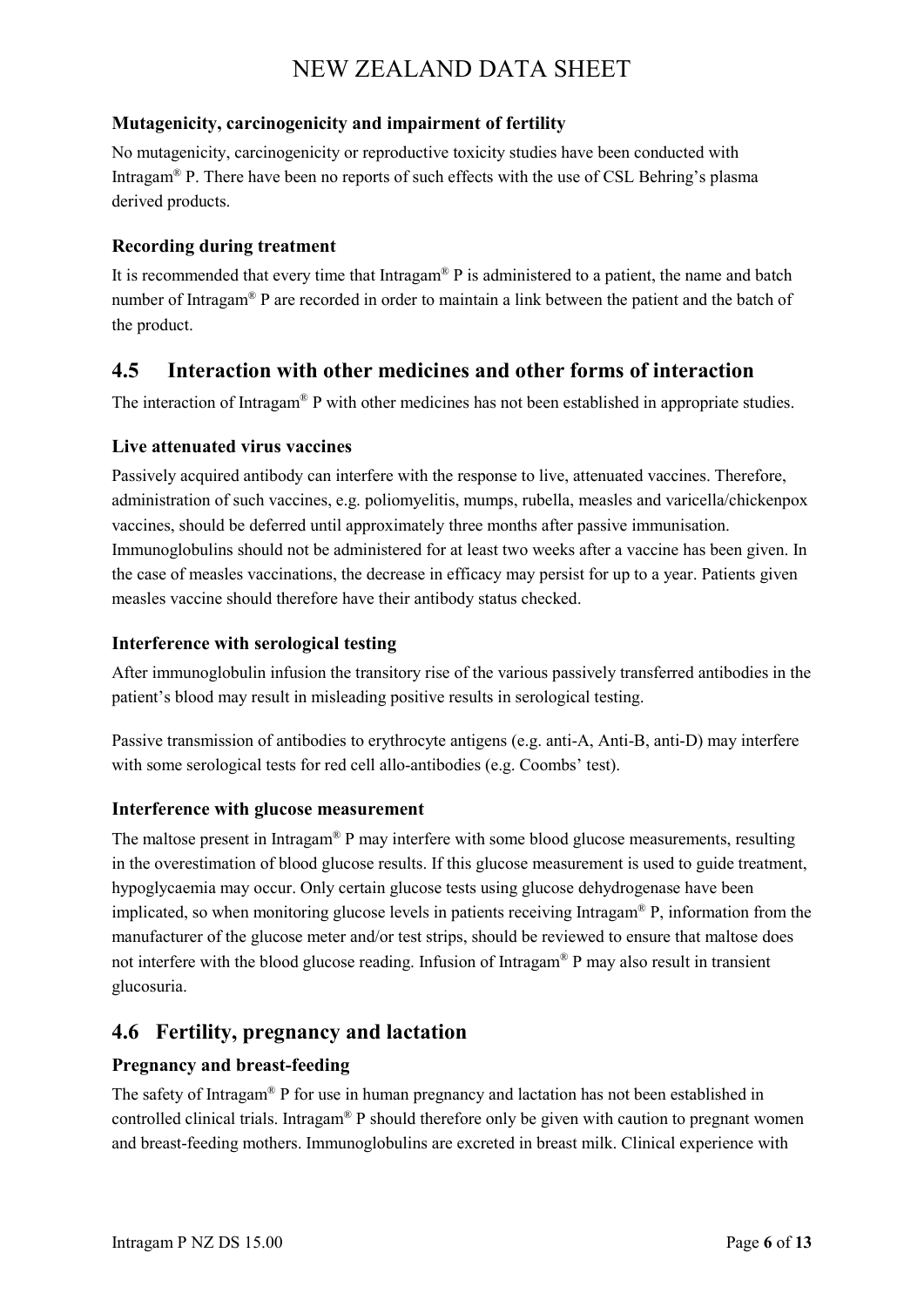### **Mutagenicity, carcinogenicity and impairment of fertility**

No mutagenicity, carcinogenicity or reproductive toxicity studies have been conducted with Intragam® P. There have been no reports of such effects with the use of CSL Behring's plasma derived products.

#### **Recording during treatment**

It is recommended that every time that Intragam® P is administered to a patient, the name and batch number of Intragam® P are recorded in order to maintain a link between the patient and the batch of the product.

## **4.5 Interaction with other medicines and other forms of interaction**

The interaction of Intragam® P with other medicines has not been established in appropriate studies.

#### **Live attenuated virus vaccines**

Passively acquired antibody can interfere with the response to live, attenuated vaccines. Therefore, administration of such vaccines, e.g. poliomyelitis, mumps, rubella, measles and varicella/chickenpox vaccines, should be deferred until approximately three months after passive immunisation. Immunoglobulins should not be administered for at least two weeks after a vaccine has been given. In the case of measles vaccinations, the decrease in efficacy may persist for up to a year. Patients given measles vaccine should therefore have their antibody status checked.

#### **Interference with serological testing**

After immunoglobulin infusion the transitory rise of the various passively transferred antibodies in the patient's blood may result in misleading positive results in serological testing.

Passive transmission of antibodies to erythrocyte antigens (e.g. anti-A, Anti-B, anti-D) may interfere with some serological tests for red cell allo-antibodies (e.g. Coombs' test).

#### **Interference with glucose measurement**

The maltose present in Intragam® P may interfere with some blood glucose measurements, resulting in the overestimation of blood glucose results. If this glucose measurement is used to guide treatment, hypoglycaemia may occur. Only certain glucose tests using glucose dehydrogenase have been implicated, so when monitoring glucose levels in patients receiving Intragam® P, information from the manufacturer of the glucose meter and/or test strips, should be reviewed to ensure that maltose does not interfere with the blood glucose reading. Infusion of Intragam® P may also result in transient glucosuria.

### **4.6 Fertility, pregnancy and lactation**

#### **Pregnancy and breast-feeding**

The safety of Intragam® P for use in human pregnancy and lactation has not been established in controlled clinical trials. Intragam® P should therefore only be given with caution to pregnant women and breast-feeding mothers. Immunoglobulins are excreted in breast milk. Clinical experience with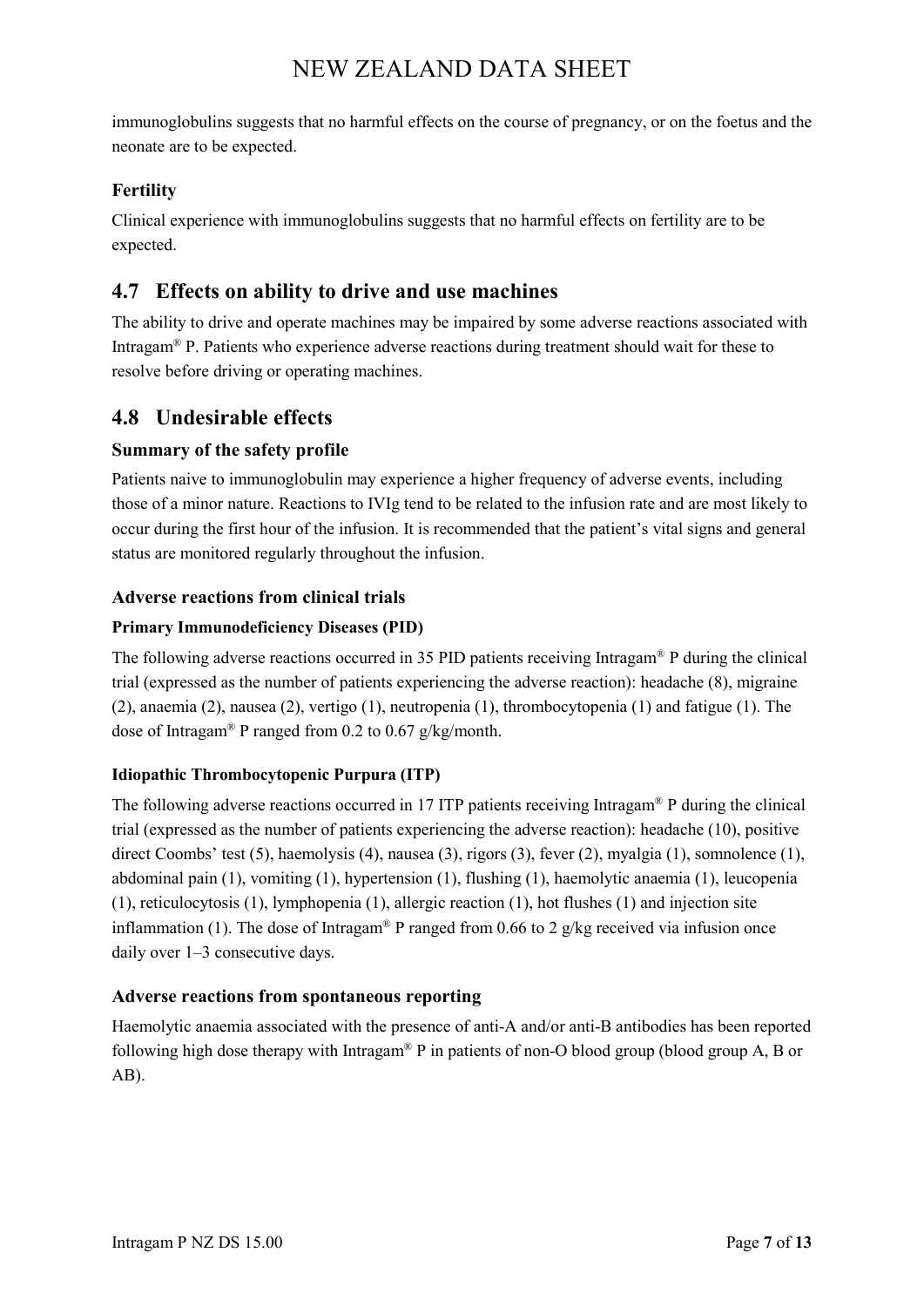immunoglobulins suggests that no harmful effects on the course of pregnancy, or on the foetus and the neonate are to be expected.

### **Fertility**

Clinical experience with immunoglobulins suggests that no harmful effects on fertility are to be expected.

## **4.7 Effects on ability to drive and use machines**

The ability to drive and operate machines may be impaired by some adverse reactions associated with Intragam® P. Patients who experience adverse reactions during treatment should wait for these to resolve before driving or operating machines.

## **4.8 Undesirable effects**

### **Summary of the safety profile**

Patients naive to immunoglobulin may experience a higher frequency of adverse events, including those of a minor nature. Reactions to IVIg tend to be related to the infusion rate and are most likely to occur during the first hour of the infusion. It is recommended that the patient's vital signs and general status are monitored regularly throughout the infusion.

#### **Adverse reactions from clinical trials**

#### **Primary Immunodeficiency Diseases (PID)**

The following adverse reactions occurred in 35 PID patients receiving Intragam® P during the clinical trial (expressed as the number of patients experiencing the adverse reaction): headache (8), migraine (2), anaemia (2), nausea (2), vertigo (1), neutropenia (1), thrombocytopenia (1) and fatigue (1). The dose of Intragam® P ranged from 0.2 to 0.67 g/kg/month.

#### **Idiopathic Thrombocytopenic Purpura (ITP)**

The following adverse reactions occurred in 17 ITP patients receiving Intragam® P during the clinical trial (expressed as the number of patients experiencing the adverse reaction): headache (10), positive direct Coombs' test (5), haemolysis (4), nausea (3), rigors (3), fever (2), myalgia (1), somnolence (1), abdominal pain (1), vomiting (1), hypertension (1), flushing (1), haemolytic anaemia (1), leucopenia (1), reticulocytosis (1), lymphopenia (1), allergic reaction (1), hot flushes (1) and injection site inflammation (1). The dose of Intragam<sup>®</sup> P ranged from 0.66 to 2  $g/kg$  received via infusion once daily over 1–3 consecutive days.

#### **Adverse reactions from spontaneous reporting**

Haemolytic anaemia associated with the presence of anti-A and/or anti-B antibodies has been reported following high dose therapy with Intragam® P in patients of non-O blood group (blood group A, B or AB).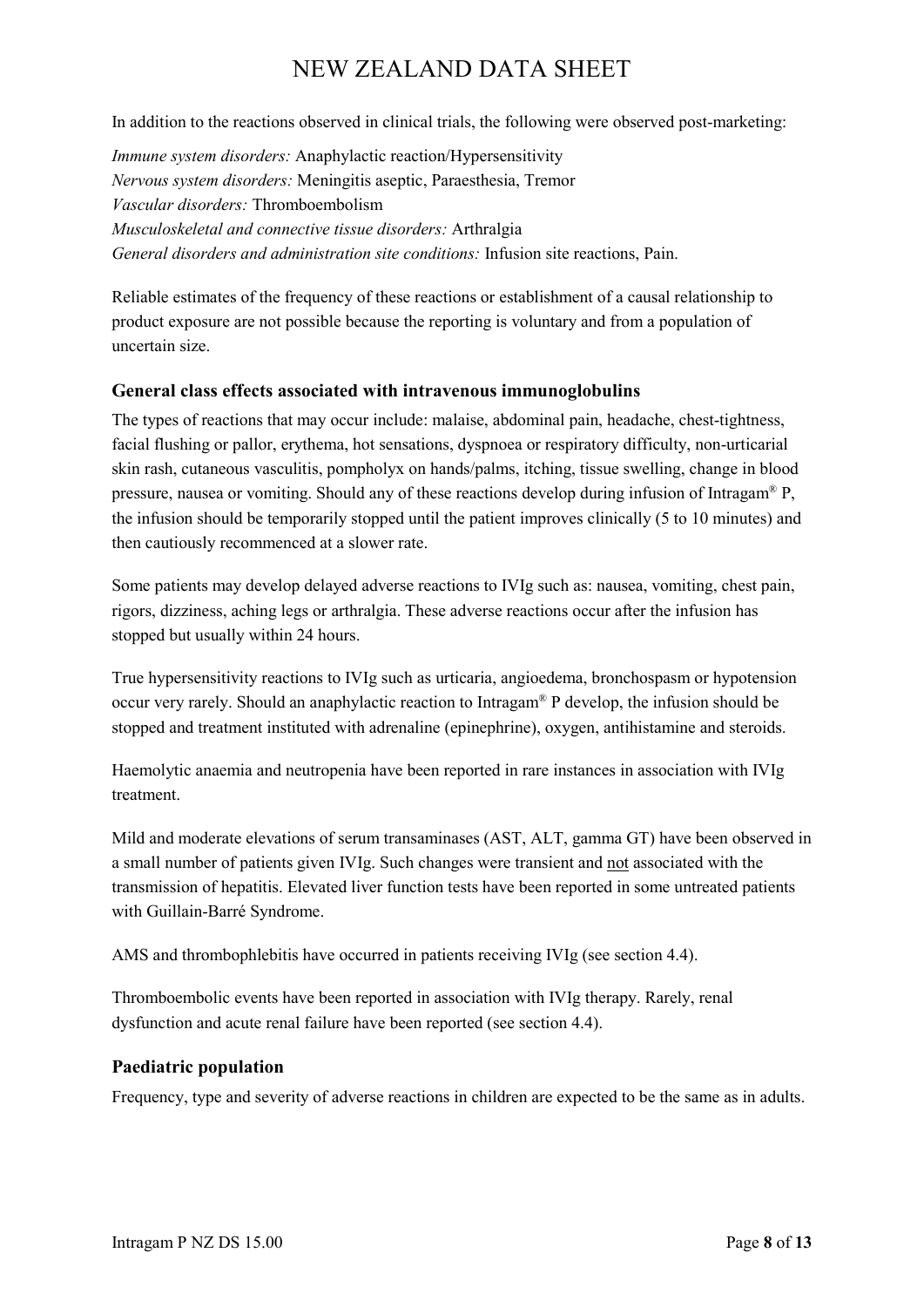In addition to the reactions observed in clinical trials, the following were observed post-marketing:

*Immune system disorders:* Anaphylactic reaction/Hypersensitivity *Nervous system disorders:* Meningitis aseptic, Paraesthesia, Tremor *Vascular disorders:* Thromboembolism *Musculoskeletal and connective tissue disorders:* Arthralgia *General disorders and administration site conditions:* Infusion site reactions, Pain.

Reliable estimates of the frequency of these reactions or establishment of a causal relationship to product exposure are not possible because the reporting is voluntary and from a population of uncertain size.

#### **General class effects associated with intravenous immunoglobulins**

The types of reactions that may occur include: malaise, abdominal pain, headache, chest-tightness, facial flushing or pallor, erythema, hot sensations, dyspnoea or respiratory difficulty, non-urticarial skin rash, cutaneous vasculitis, pompholyx on hands/palms, itching, tissue swelling, change in blood pressure, nausea or vomiting. Should any of these reactions develop during infusion of Intragam® P, the infusion should be temporarily stopped until the patient improves clinically (5 to 10 minutes) and then cautiously recommenced at a slower rate.

Some patients may develop delayed adverse reactions to IVIg such as: nausea, vomiting, chest pain, rigors, dizziness, aching legs or arthralgia. These adverse reactions occur after the infusion has stopped but usually within 24 hours.

True hypersensitivity reactions to IVIg such as urticaria, angioedema, bronchospasm or hypotension occur very rarely. Should an anaphylactic reaction to Intragam® P develop, the infusion should be stopped and treatment instituted with adrenaline (epinephrine), oxygen, antihistamine and steroids.

Haemolytic anaemia and neutropenia have been reported in rare instances in association with IVIg treatment.

Mild and moderate elevations of serum transaminases (AST, ALT, gamma GT) have been observed in a small number of patients given IVIg. Such changes were transient and not associated with the transmission of hepatitis. Elevated liver function tests have been reported in some untreated patients with Guillain-Barré Syndrome.

AMS and thrombophlebitis have occurred in patients receiving IVIg (see section 4.4).

Thromboembolic events have been reported in association with IVIg therapy. Rarely, renal dysfunction and acute renal failure have been reported (see section 4.4).

#### **Paediatric population**

Frequency, type and severity of adverse reactions in children are expected to be the same as in adults.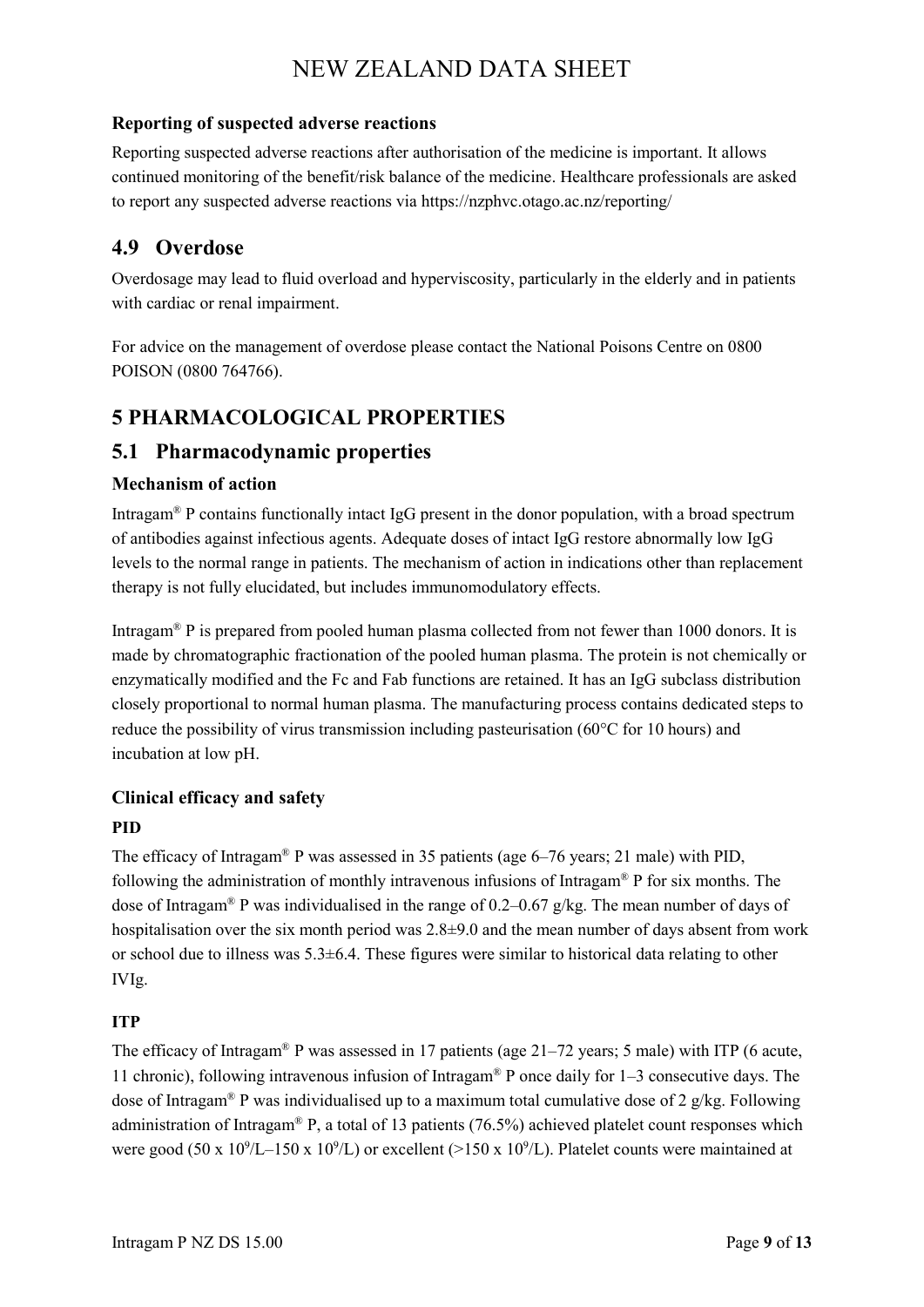### **Reporting of suspected adverse reactions**

Reporting suspected adverse reactions after authorisation of the medicine is important. It allows continued monitoring of the benefit/risk balance of the medicine. Healthcare professionals are asked to report any suspected adverse reactions via https://nzphvc.otago.ac.nz/reporting/

# **4.9 Overdose**

Overdosage may lead to fluid overload and hyperviscosity, particularly in the elderly and in patients with cardiac or renal impairment.

For advice on the management of overdose please contact the National Poisons Centre on 0800 POISON (0800 764766).

# **5 PHARMACOLOGICAL PROPERTIES**

## **5.1 Pharmacodynamic properties**

### **Mechanism of action**

Intragam® P contains functionally intact IgG present in the donor population, with a broad spectrum of antibodies against infectious agents. Adequate doses of intact IgG restore abnormally low IgG levels to the normal range in patients. The mechanism of action in indications other than replacement therapy is not fully elucidated, but includes immunomodulatory effects.

Intragam® P is prepared from pooled human plasma collected from not fewer than 1000 donors. It is made by chromatographic fractionation of the pooled human plasma. The protein is not chemically or enzymatically modified and the Fc and Fab functions are retained. It has an IgG subclass distribution closely proportional to normal human plasma. The manufacturing process contains dedicated steps to reduce the possibility of virus transmission including pasteurisation (60°C for 10 hours) and incubation at low pH.

### **Clinical efficacy and safety**

### **PID**

The efficacy of Intragam® P was assessed in 35 patients (age 6–76 years; 21 male) with PID, following the administration of monthly intravenous infusions of Intragam® P for six months. The dose of Intragam® P was individualised in the range of 0.2–0.67 g/kg. The mean number of days of hospitalisation over the six month period was  $2.8\pm9.0$  and the mean number of days absent from work or school due to illness was  $5.3\pm6.4$ . These figures were similar to historical data relating to other IVIg.

### **ITP**

The efficacy of Intragam<sup>®</sup> P was assessed in 17 patients (age 21–72 years; 5 male) with ITP (6 acute, 11 chronic), following intravenous infusion of Intragam® P once daily for 1–3 consecutive days. The dose of Intragam® P was individualised up to a maximum total cumulative dose of 2 g/kg. Following administration of Intragam® P, a total of 13 patients (76.5%) achieved platelet count responses which were good (50 x 10<sup>9</sup>/L-150 x 10<sup>9</sup>/L) or excellent (>150 x 10<sup>9</sup>/L). Platelet counts were maintained at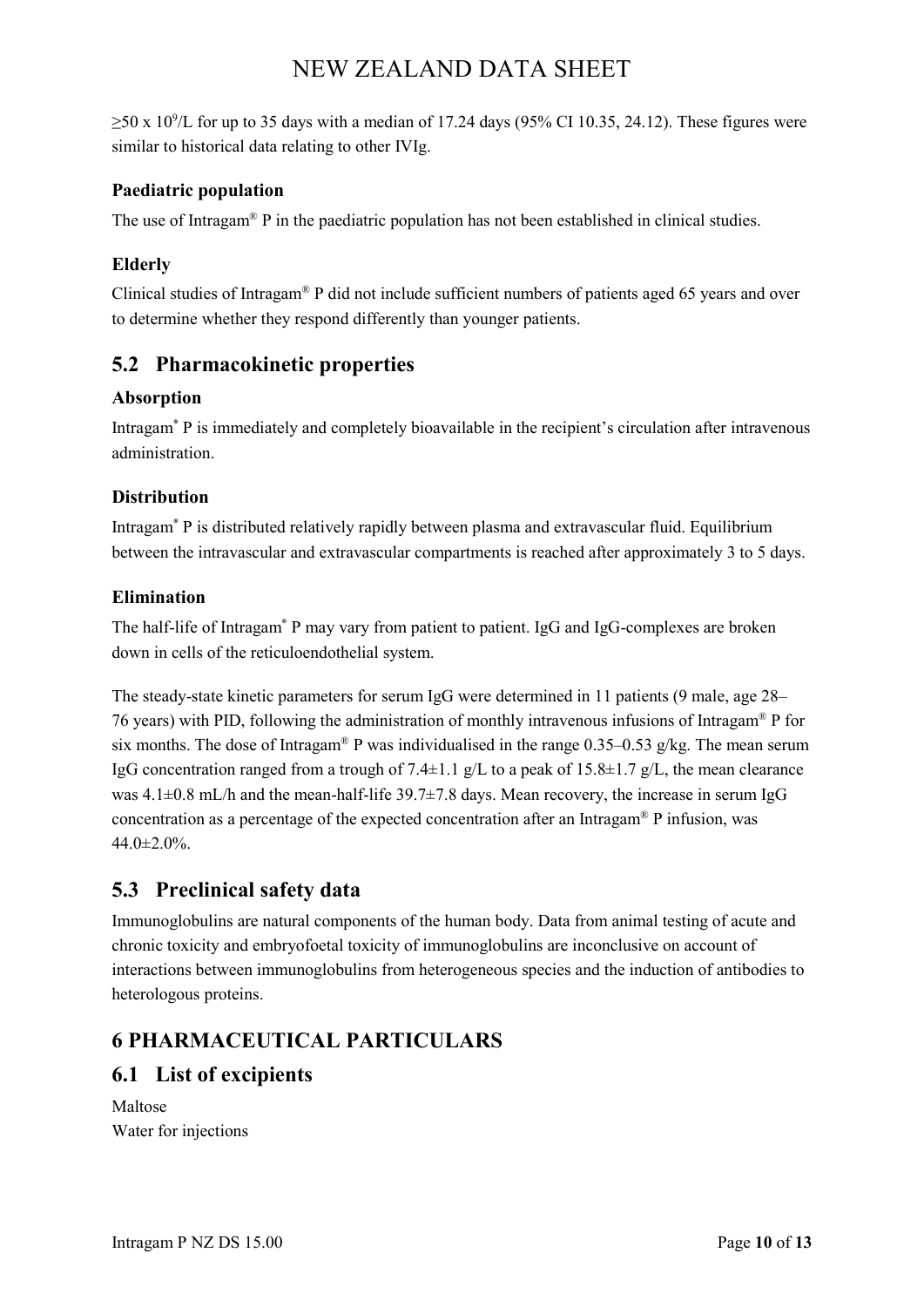$\geq$ 50 x 10<sup>9</sup>/L for up to 35 days with a median of 17.24 days (95% CI 10.35, 24.12). These figures were similar to historical data relating to other IVIg.

### **Paediatric population**

The use of Intragam® P in the paediatric population has not been established in clinical studies.

### **Elderly**

Clinical studies of Intragam® P did not include sufficient numbers of patients aged 65 years and over to determine whether they respond differently than younger patients.

# **5.2 Pharmacokinetic properties**

### **Absorption**

Intragam® P is immediately and completely bioavailable in the recipient's circulation after intravenous administration.

### **Distribution**

Intragam® P is distributed relatively rapidly between plasma and extravascular fluid. Equilibrium between the intravascular and extravascular compartments is reached after approximately 3 to 5 days.

#### **Elimination**

The half-life of Intragam® P may vary from patient to patient. IgG and IgG-complexes are broken down in cells of the reticuloendothelial system.

The steady-state kinetic parameters for serum IgG were determined in 11 patients (9 male, age 28– 76 years) with PID, following the administration of monthly intravenous infusions of Intragam® P for six months. The dose of Intragam<sup>®</sup> P was individualised in the range  $0.35-0.53$  g/kg. The mean serum IgG concentration ranged from a trough of 7.4 $\pm$ 1.1 g/L to a peak of 15.8 $\pm$ 1.7 g/L, the mean clearance was  $4.1\pm0.8$  mL/h and the mean-half-life 39.7 $\pm$ 7.8 days. Mean recovery, the increase in serum IgG concentration as a percentage of the expected concentration after an Intragam<sup>®</sup> P infusion, was  $44.0 \pm 2.0\%$ .

# **5.3 Preclinical safety data**

Immunoglobulins are natural components of the human body. Data from animal testing of acute and chronic toxicity and embryofoetal toxicity of immunoglobulins are inconclusive on account of interactions between immunoglobulins from heterogeneous species and the induction of antibodies to heterologous proteins.

# **6 PHARMACEUTICAL PARTICULARS**

## **6.1 List of excipients**

Maltose Water for injections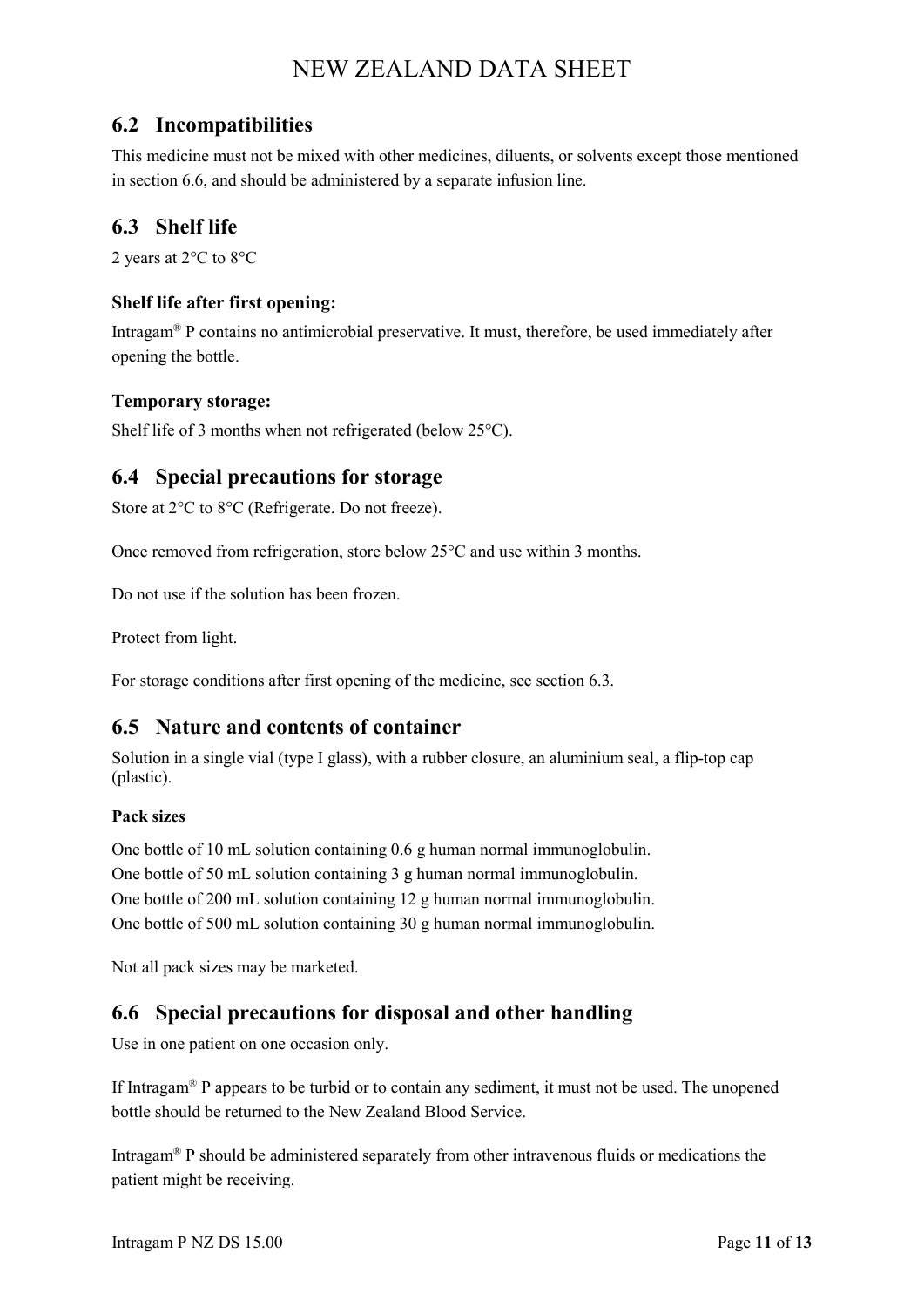# **6.2 Incompatibilities**

This medicine must not be mixed with other medicines, diluents, or solvents except those mentioned in section 6.6, and should be administered by a separate infusion line.

# **6.3 Shelf life**

2 years at 2°C to 8°C

### **Shelf life after first opening:**

Intragam® P contains no antimicrobial preservative. It must, therefore, be used immediately after opening the bottle.

### **Temporary storage:**

Shelf life of 3 months when not refrigerated (below 25°C).

## **6.4 Special precautions for storage**

Store at 2°C to 8°C (Refrigerate. Do not freeze).

Once removed from refrigeration, store below 25°C and use within 3 months.

Do not use if the solution has been frozen.

Protect from light.

For storage conditions after first opening of the medicine, see section 6.3.

## **6.5 Nature and contents of container**

Solution in a single vial (type I glass), with a rubber closure, an aluminium seal, a flip-top cap (plastic).

#### **Pack sizes**

One bottle of 10 mL solution containing 0.6 g human normal immunoglobulin. One bottle of 50 mL solution containing 3 g human normal immunoglobulin. One bottle of 200 mL solution containing 12 g human normal immunoglobulin. One bottle of 500 mL solution containing 30 g human normal immunoglobulin.

Not all pack sizes may be marketed.

## **6.6 Special precautions for disposal and other handling**

Use in one patient on one occasion only.

If Intragam® P appears to be turbid or to contain any sediment, it must not be used. The unopened bottle should be returned to the New Zealand Blood Service.

Intragam® P should be administered separately from other intravenous fluids or medications the patient might be receiving.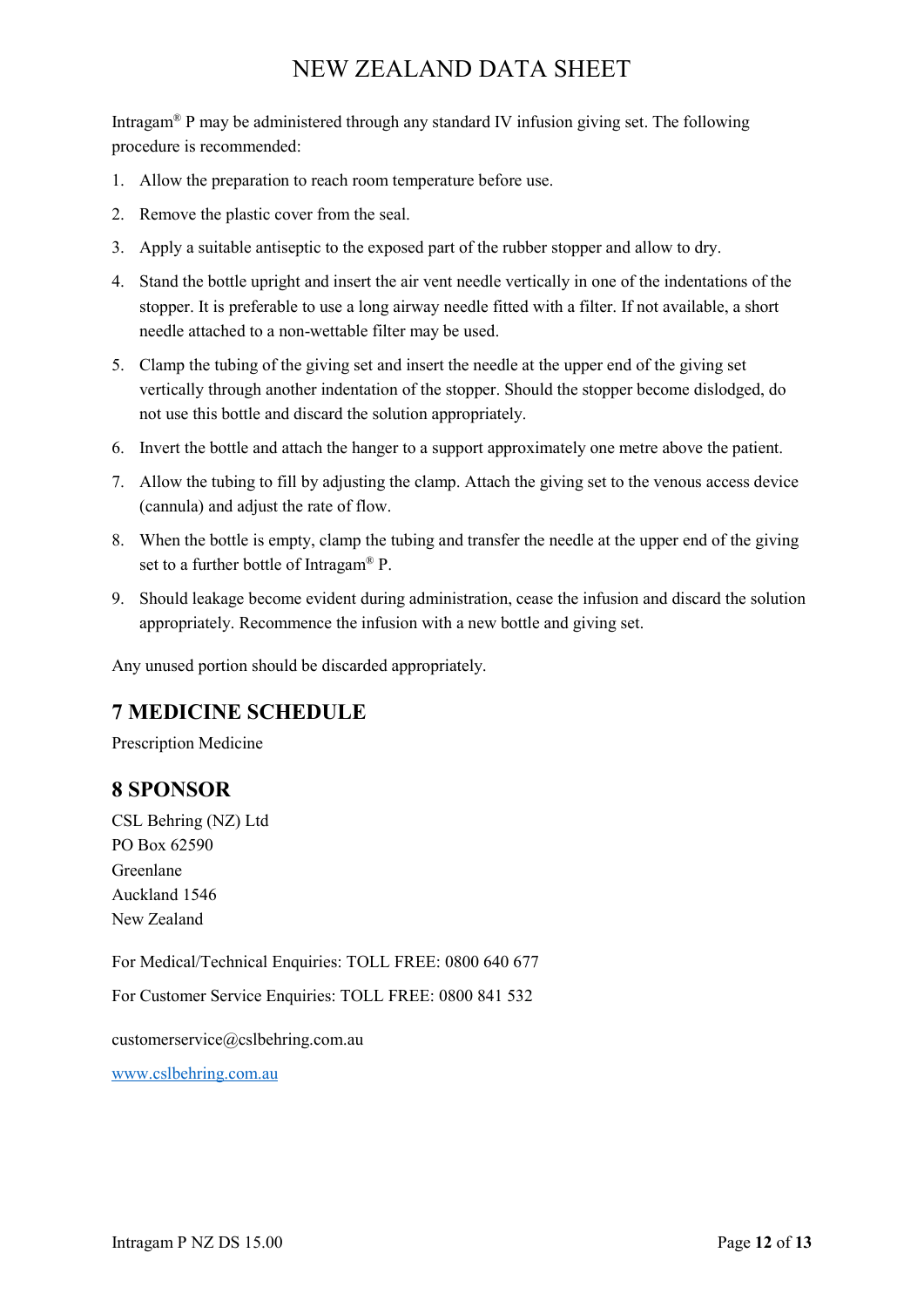Intragam® P may be administered through any standard IV infusion giving set. The following procedure is recommended:

- 1. Allow the preparation to reach room temperature before use.
- 2. Remove the plastic cover from the seal.
- 3. Apply a suitable antiseptic to the exposed part of the rubber stopper and allow to dry.
- 4. Stand the bottle upright and insert the air vent needle vertically in one of the indentations of the stopper. It is preferable to use a long airway needle fitted with a filter. If not available, a short needle attached to a non-wettable filter may be used.
- 5. Clamp the tubing of the giving set and insert the needle at the upper end of the giving set vertically through another indentation of the stopper. Should the stopper become dislodged, do not use this bottle and discard the solution appropriately.
- 6. Invert the bottle and attach the hanger to a support approximately one metre above the patient.
- 7. Allow the tubing to fill by adjusting the clamp. Attach the giving set to the venous access device (cannula) and adjust the rate of flow.
- 8. When the bottle is empty, clamp the tubing and transfer the needle at the upper end of the giving set to a further bottle of Intragam® P.
- 9. Should leakage become evident during administration, cease the infusion and discard the solution appropriately. Recommence the infusion with a new bottle and giving set.

Any unused portion should be discarded appropriately.

## **7 MEDICINE SCHEDULE**

Prescription Medicine

## **8 SPONSOR**

CSL Behring (NZ) Ltd PO Box 62590 Greenlane Auckland 1546 New Zealand

For Medical/Technical Enquiries: TOLL FREE: 0800 640 677

For Customer Service Enquiries: TOLL FREE: 0800 841 532

customerservice@cslbehring.com.au

[www.cslbehring.com.au](http://www.cslbehring.com.au/)